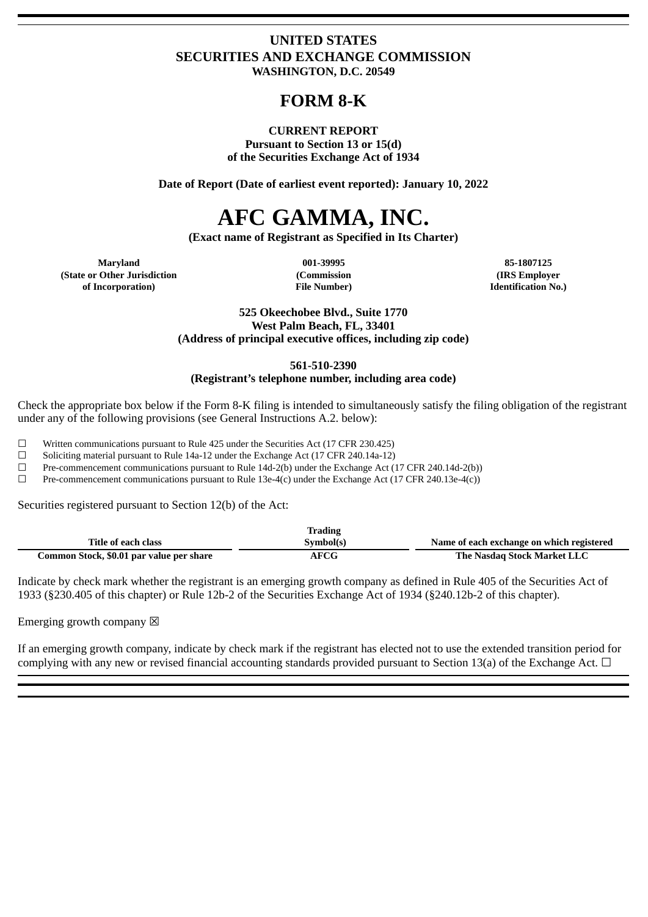# **UNITED STATES SECURITIES AND EXCHANGE COMMISSION WASHINGTON, D.C. 20549**

# **FORM 8-K**

## **CURRENT REPORT Pursuant to Section 13 or 15(d)**

**of the Securities Exchange Act of 1934**

**Date of Report (Date of earliest event reported): January 10, 2022**

# **AFC GAMMA, INC.**

**(Exact name of Registrant as Specified in Its Charter)**

**Maryland 001-39995 85-1807125 (State or Other Jurisdiction of Incorporation)**

**(Commission File Number)**

**(IRS Employer Identification No.)**

#### **525 Okeechobee Blvd., Suite 1770 West Palm Beach, FL, 33401 (Address of principal executive offices, including zip code)**

**561-510-2390**

**(Registrant's telephone number, including area code)**

Check the appropriate box below if the Form 8-K filing is intended to simultaneously satisfy the filing obligation of the registrant under any of the following provisions (see General Instructions A.2. below):

 $\Box$  Written communications pursuant to Rule 425 under the Securities Act (17 CFR 230.425)

 $\Box$  Soliciting material pursuant to Rule 14a-12 under the Exchange Act (17 CFR 240.14a-12)

☐ Pre-commencement communications pursuant to Rule 14d-2(b) under the Exchange Act (17 CFR 240.14d-2(b))

☐ Pre-commencement communications pursuant to Rule 13e-4(c) under the Exchange Act (17 CFR 240.13e-4(c))

Securities registered pursuant to Section 12(b) of the Act:

|                                          | <b>Trading</b> |                                           |
|------------------------------------------|----------------|-------------------------------------------|
| Title of each class                      | Symbol(s)      | Name of each exchange on which registered |
| Common Stock, \$0.01 par value per share | AFCG           | The Nasdag Stock Market LLC               |

Indicate by check mark whether the registrant is an emerging growth company as defined in Rule 405 of the Securities Act of 1933 (§230.405 of this chapter) or Rule 12b-2 of the Securities Exchange Act of 1934 (§240.12b-2 of this chapter).

Emerging growth company  $\boxtimes$ 

If an emerging growth company, indicate by check mark if the registrant has elected not to use the extended transition period for complying with any new or revised financial accounting standards provided pursuant to Section 13(a) of the Exchange Act.  $\Box$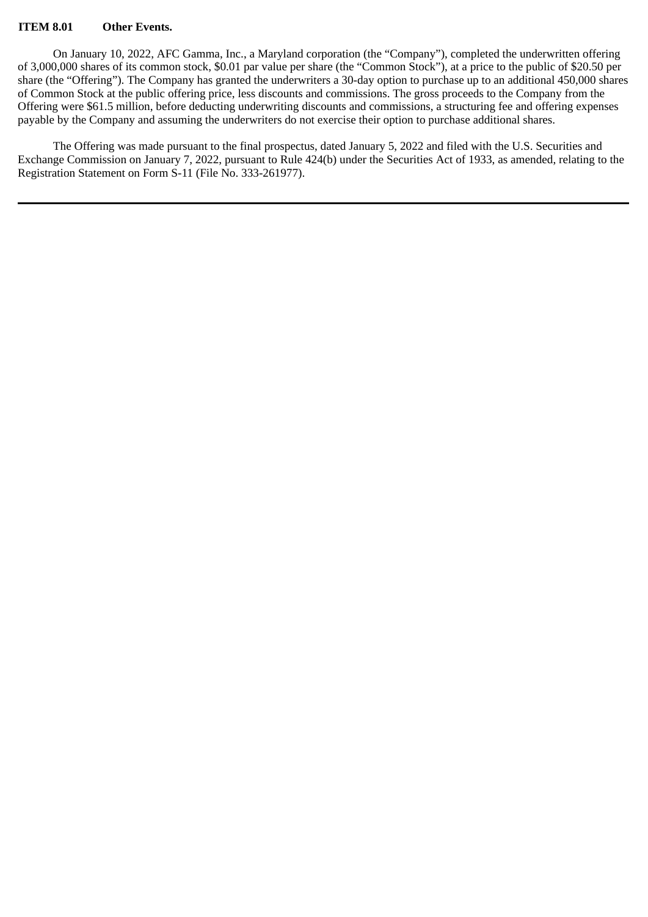#### **ITEM 8.01 Other Events.**

On January 10, 2022, AFC Gamma, Inc., a Maryland corporation (the "Company"), completed the underwritten offering of 3,000,000 shares of its common stock, \$0.01 par value per share (the "Common Stock"), at a price to the public of \$20.50 per share (the "Offering"). The Company has granted the underwriters a 30-day option to purchase up to an additional 450,000 shares of Common Stock at the public offering price, less discounts and commissions. The gross proceeds to the Company from the Offering were \$61.5 million, before deducting underwriting discounts and commissions, a structuring fee and offering expenses payable by the Company and assuming the underwriters do not exercise their option to purchase additional shares.

The Offering was made pursuant to the final prospectus, dated January 5, 2022 and filed with the U.S. Securities and Exchange Commission on January 7, 2022, pursuant to Rule 424(b) under the Securities Act of 1933, as amended, relating to the Registration Statement on Form S-11 (File No. 333-261977).